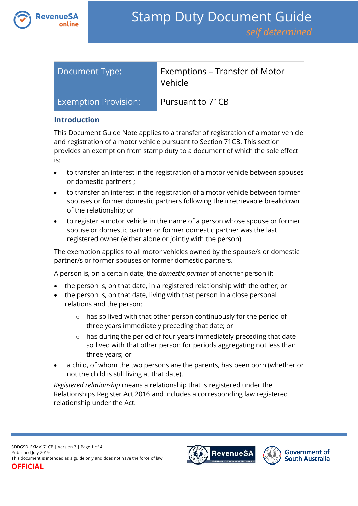

| Document Type:              | Exemptions – Transfer of Motor<br>Vehicle |
|-----------------------------|-------------------------------------------|
| <b>Exemption Provision:</b> | Pursuant to 71CB                          |

#### **Introduction**

This Document Guide Note applies to a transfer of registration of a motor vehicle and registration of a motor vehicle pursuant to Section 71CB. This section provides an exemption from stamp duty to a document of which the sole effect is:

- to transfer an interest in the registration of a motor vehicle between spouses or domestic partners ;
- to transfer an interest in the registration of a motor vehicle between former spouses or former domestic partners following the irretrievable breakdown of the relationship; or
- to register a motor vehicle in the name of a person whose spouse or former spouse or domestic partner or former domestic partner was the last registered owner (either alone or jointly with the person).

The exemption applies to all motor vehicles owned by the spouse/s or domestic partner/s or former spouses or former domestic partners.

A person is, on a certain date, the *domestic partner* of another person if:

- the person is, on that date, in a registered relationship with the other; or
- the person is, on that date, living with that person in a close personal relations and the person:
	- o has so lived with that other person continuously for the period of three years immediately preceding that date; or
	- o has during the period of four years immediately preceding that date so lived with that other person for periods aggregating not less than three years; or
- a child, of whom the two persons are the parents, has been born (whether or not the child is still living at that date).

*Registered relationship* means a relationship that is registered under the Relationships Register Act 2016 and includes a corresponding law registered relationship under the Act.

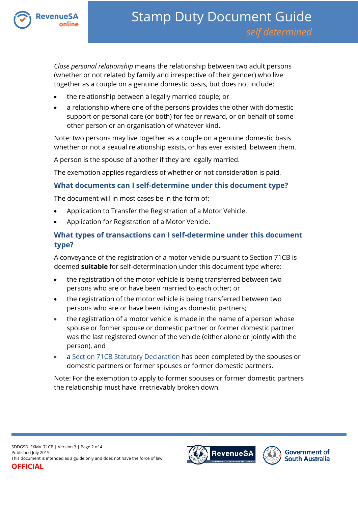

*Close personal relationship* means the relationship between two adult persons (whether or not related by family and irrespective of their gender) who live together as a couple on a genuine domestic basis, but does not include:

- the relationship between a legally married couple; or
- a relationship where one of the persons provides the other with domestic support or personal care (or both) for fee or reward, or on behalf of some other person or an organisation of whatever kind.

Note: two persons may live together as a couple on a genuine domestic basis whether or not a sexual relationship exists, or has ever existed, between them.

A person is the spouse of another if they are legally married.

The exemption applies regardless of whether or not consideration is paid.

## **What documents can I self-determine under this document type?**

The document will in most cases be in the form of:

- Application to Transfer the Registration of a Motor Vehicle.
- Application for Registration of a Motor Vehicle.

# **What types of transactions can I self-determine under this document type?**

A conveyance of the registration of a motor vehicle pursuant to Section 71CB is deemed **suitable** for self-determination under this document type where:

- the registration of the motor vehicle is being transferred between two persons who are or have been married to each other; or
- the registration of the motor vehicle is being transferred between two persons who are or have been living as domestic partners;
- the registration of a motor vehicle is made in the name of a person whose spouse or former spouse or domestic partner or former domestic partner was the last registered owner of the vehicle (either alone or jointly with the person), and
- a [Section 71CB Statutory Declaration](https://www.revenuesa.sa.gov.au/forms-and-publications/documents/forms/SD_S71CBstatdec.pdf) has been completed by the spouses or domestic partners or former spouses or former domestic partners.

Note: For the exemption to apply to former spouses or former domestic partners the relationship must have irretrievably broken down.



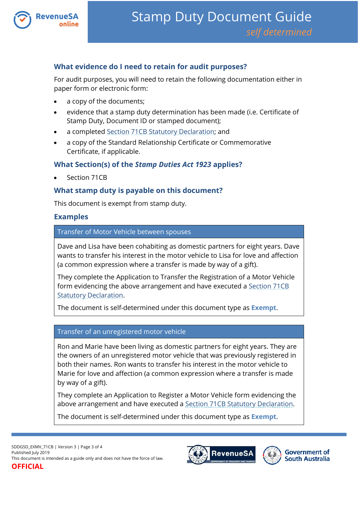

## **What evidence do I need to retain for audit purposes?**

For audit purposes, you will need to retain the following documentation either in paper form or electronic form:

- a copy of the documents;
- evidence that a stamp duty determination has been made (i.e. Certificate of Stamp Duty, Document ID or stamped document);
- a complete[d Section 71CB Statutory Declaration;](https://www.revenuesa.sa.gov.au/forms-and-publications/documents/forms/SD_S71CBstatdec.pdf) and
- a copy of the Standard Relationship Certificate or Commemorative Certificate, if applicable.

## **What Section(s) of the** *Stamp Duties Act 1923* **applies?**

Section 71CB

## **What stamp duty is payable on this document?**

This document is exempt from stamp duty.

#### **Examples**

Transfer of Motor Vehicle between spouses

Dave and Lisa have been cohabiting as domestic partners for eight years. Dave wants to transfer his interest in the motor vehicle to Lisa for love and affection (a common expression where a transfer is made by way of a gift).

They complete the Application to Transfer the Registration of a Motor Vehicle form evidencing the above arrangement and have executed a [Section 71CB](https://www.revenuesa.sa.gov.au/forms-and-publications/documents/forms/SD_S71CBstatdec.pdf)  [Statutory Declaration.](https://www.revenuesa.sa.gov.au/forms-and-publications/documents/forms/SD_S71CBstatdec.pdf)

The document is self-determined under this document type as **Exempt**.

#### Transfer of an unregistered motor vehicle

Ron and Marie have been living as domestic partners for eight years. They are the owners of an unregistered motor vehicle that was previously registered in both their names. Ron wants to transfer his interest in the motor vehicle to Marie for love and affection (a common expression where a transfer is made by way of a gift).

They complete an Application to Register a Motor Vehicle form evidencing the above arrangement and have executed a [Section 71CB Statutory Declaration.](https://www.revenuesa.sa.gov.au/forms-and-publications/documents/forms/SD_S71CBstatdec.pdf)

The document is self-determined under this document type as **Exempt**.